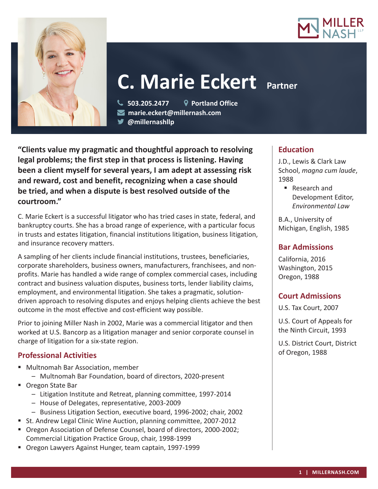



# **C. Marie Eckert Partner**

 **503.205.2477 Portland Office marie.eckert@millernash.com @millernashllp** 

**"Clients value my pragmatic and thoughtful approach to resolving legal problems; the first step in that process is listening. Having been a client myself for several years, I am adept at assessing risk and reward, cost and benefit, recognizing when a case should be tried, and when a dispute is best resolved outside of the courtroom."**

C. Marie Eckert is a successful litigator who has tried cases in state, federal, and bankruptcy courts. She has a broad range of experience, with a particular focus in trusts and estates litigation, financial institutions litigation, business litigation, and insurance recovery matters.

A sampling of her clients include financial institutions, trustees, beneficiaries, corporate shareholders, business owners, manufacturers, franchisees, and nonprofits. Marie has handled a wide range of complex commercial cases, including contract and business valuation disputes, business torts, lender liability claims, employment, and environmental litigation. She takes a pragmatic, solutiondriven approach to resolving disputes and enjoys helping clients achieve the best outcome in the most effective and cost-efficient way possible.

Prior to joining Miller Nash in 2002, Marie was a commercial litigator and then worked at U.S. Bancorp as a litigation manager and senior corporate counsel in charge of litigation for a six-state region.

# **Professional Activities**

- Multnomah Bar Association, member
	- Multnomah Bar Foundation, board of directors, 2020-present
- Oregon State Bar
	- Litigation Institute and Retreat, planning committee, 1997-2014
	- House of Delegates, representative, 2003-2009
	- Business Litigation Section, executive board, 1996-2002; chair, 2002
- St. Andrew Legal Clinic Wine Auction, planning committee, 2007-2012
- Oregon Association of Defense Counsel, board of directors, 2000-2002; Commercial Litigation Practice Group, chair, 1998-1999
- Oregon Lawyers Against Hunger, team captain, 1997-1999

# **Education**

J.D., Lewis & Clark Law School, *magna cum laude*, 1988

■ Research and Development Editor, *Environmental Law*

B.A., University of Michigan, English, 1985

# **Bar Admissions**

California, 2016 Washington, 2015 Oregon, 1988

# **Court Admissions**

U.S. Tax Court, 2007

U.S. Court of Appeals for the Ninth Circuit, 1993

U.S. District Court, District of Oregon, 1988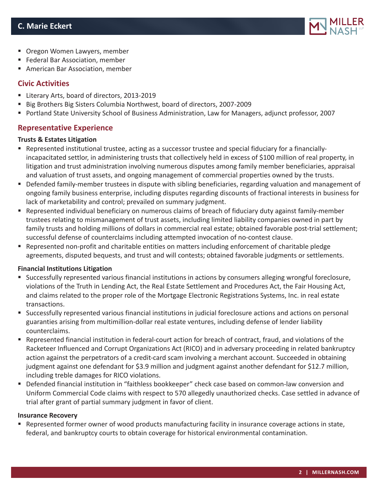

- **Oregon Women Lawyers, member**
- **Federal Bar Association, member**
- American Bar Association, member

## **Civic Activities**

- Literary Arts, board of directors, 2013-2019
- Big Brothers Big Sisters Columbia Northwest, board of directors, 2007-2009
- Portland State University School of Business Administration, Law for Managers, adjunct professor, 2007

## **Representative Experience**

#### **Trusts & Estates Litigation**

- Represented institutional trustee, acting as a successor trustee and special fiduciary for a financiallyincapacitated settlor, in administering trusts that collectively held in excess of \$100 million of real property, in litigation and trust administration involving numerous disputes among family member beneficiaries, appraisal and valuation of trust assets, and ongoing management of commercial properties owned by the trusts.
- Defended family-member trustees in dispute with sibling beneficiaries, regarding valuation and management of ongoing family business enterprise, including disputes regarding discounts of fractional interests in business for lack of marketability and control; prevailed on summary judgment.
- Represented individual beneficiary on numerous claims of breach of fiduciary duty against family-member trustees relating to mismanagement of trust assets, including limited liability companies owned in part by family trusts and holding millions of dollars in commercial real estate; obtained favorable post-trial settlement; successful defense of counterclaims including attempted invocation of no-contest clause.
- Represented non-profit and charitable entities on matters including enforcement of charitable pledge agreements, disputed bequests, and trust and will contests; obtained favorable judgments or settlements.

#### **Financial Institutions Litigation**

- Successfully represented various financial institutions in actions by consumers alleging wrongful foreclosure, violations of the Truth in Lending Act, the Real Estate Settlement and Procedures Act, the Fair Housing Act, and claims related to the proper role of the Mortgage Electronic Registrations Systems, Inc. in real estate transactions.
- Successfully represented various financial institutions in judicial foreclosure actions and actions on personal guaranties arising from multimillion-dollar real estate ventures, including defense of lender liability counterclaims.
- Represented financial institution in federal-court action for breach of contract, fraud, and violations of the Racketeer Influenced and Corrupt Organizations Act (RICO) and in adversary proceeding in related bankruptcy action against the perpetrators of a credit-card scam involving a merchant account. Succeeded in obtaining judgment against one defendant for \$3.9 million and judgment against another defendant for \$12.7 million, including treble damages for RICO violations.
- Defended financial institution in "faithless bookkeeper" check case based on common-law conversion and Uniform Commercial Code claims with respect to 570 allegedly unauthorized checks. Case settled in advance of trial after grant of partial summary judgment in favor of client.

#### **Insurance Recovery**

■ Represented former owner of wood products manufacturing facility in insurance coverage actions in state, federal, and bankruptcy courts to obtain coverage for historical environmental contamination.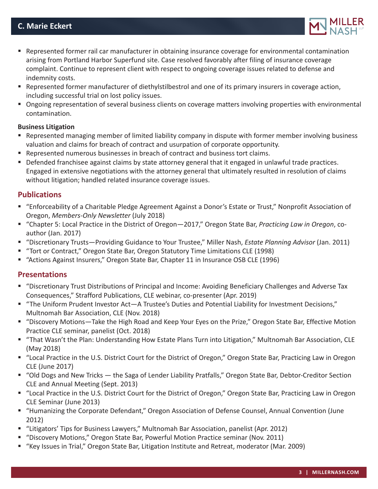

- **•** Represented former rail car manufacturer in obtaining insurance coverage for environmental contamination arising from Portland Harbor Superfund site. Case resolved favorably after filing of insurance coverage complaint. Continue to represent client with respect to ongoing coverage issues related to defense and indemnity costs.
- Represented former manufacturer of diethylstilbestrol and one of its primary insurers in coverage action, including successful trial on lost policy issues.
- Ongoing representation of several business clients on coverage matters involving properties with environmental contamination.

#### **Business Litigation**

- Represented managing member of limited liability company in dispute with former member involving business valuation and claims for breach of contract and usurpation of corporate opportunity.
- Represented numerous businesses in breach of contract and business tort claims.
- Defended franchisee against claims by state attorney general that it engaged in unlawful trade practices. Engaged in extensive negotiations with the attorney general that ultimately resulted in resolution of claims without litigation; handled related insurance coverage issues.

## **Publications**

- "Enforceability of a Charitable Pledge Agreement Against a Donor's Estate or Trust," Nonprofit Association of Oregon, *Members-Only Newsletter* (July 2018)
- "Chapter 5: Local Practice in the District of Oregon—2017," Oregon State Bar, *Practicing Law in Oregon*, coauthor (Jan. 2017)
- "Discretionary Trusts—Providing Guidance to Your Trustee," Miller Nash, *Estate Planning Advisor* (Jan. 2011)
- "Tort or Contract," Oregon State Bar, Oregon Statutory Time Limitations CLE (1998)
- "Actions Against Insurers," Oregon State Bar, Chapter 11 in Insurance OSB CLE (1996)

## **Presentations**

- "Discretionary Trust Distributions of Principal and Income: Avoiding Beneficiary Challenges and Adverse Tax Consequences," Strafford Publications, CLE webinar, co-presenter (Apr. 2019)
- "The Uniform Prudent Investor Act—A Trustee's Duties and Potential Liability for Investment Decisions," Multnomah Bar Association, CLE (Nov. 2018)
- "Discovery Motions—Take the High Road and Keep Your Eyes on the Prize," Oregon State Bar, Effective Motion Practice CLE seminar, panelist (Oct. 2018)
- "That Wasn't the Plan: Understanding How Estate Plans Turn into Litigation," Multnomah Bar Association, CLE (May 2018)
- "Local Practice in the U.S. District Court for the District of Oregon," Oregon State Bar, Practicing Law in Oregon CLE (June 2017)
- "Old Dogs and New Tricks the Saga of Lender Liability Pratfalls," Oregon State Bar, Debtor-Creditor Section CLE and Annual Meeting (Sept. 2013)
- "Local Practice in the U.S. District Court for the District of Oregon," Oregon State Bar, Practicing Law in Oregon CLE Seminar (June 2013)
- "Humanizing the Corporate Defendant," Oregon Association of Defense Counsel, Annual Convention (June 2012)
- "Litigators' Tips for Business Lawyers," Multnomah Bar Association, panelist (Apr. 2012)
- "Discovery Motions," Oregon State Bar, Powerful Motion Practice seminar (Nov. 2011)
- "Key Issues in Trial," Oregon State Bar, Litigation Institute and Retreat, moderator (Mar. 2009)